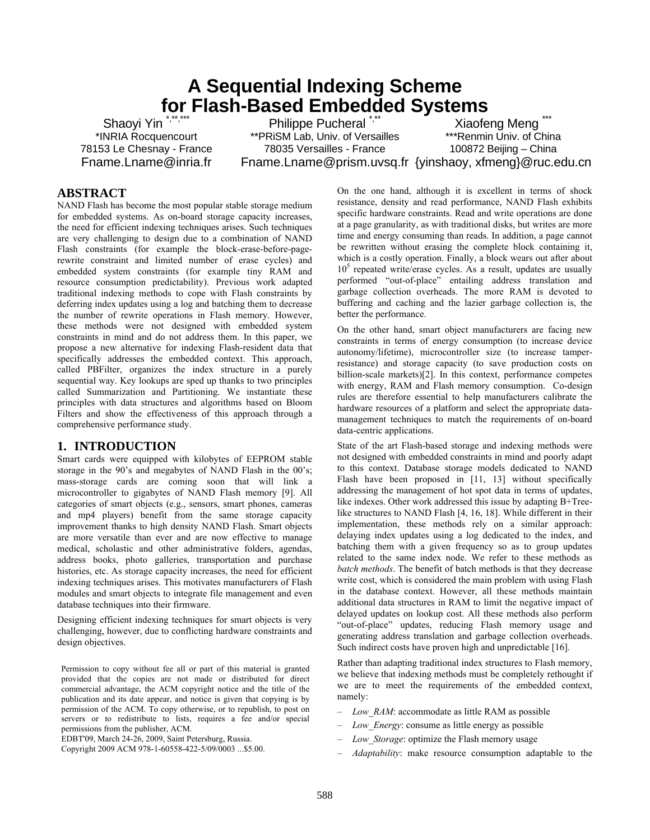# **A Sequential Indexing Scheme for Flash-Based Embedded Systems**

Shaoyi Yin \*INRIA Rocquencourt 78153 Le Chesnay - France Fname.Lname@inria.fr

Philippe Pucheral<sup>\*</sup> \*\*PRiSM Lab, Univ. of Versailles 78035 Versailles - France Fname.Lname@prism.uvsq.fr {yinshaoy, xfmeng}@ruc.edu.cn Xiaofeng Meng \*\*\*Renmin Univ. of China 100872 Beijing – China

# **ABSTRACT**

NAND Flash has become the most popular stable storage medium for embedded systems. As on-board storage capacity increases, the need for efficient indexing techniques arises. Such techniques are very challenging to design due to a combination of NAND Flash constraints (for example the block-erase-before-pagerewrite constraint and limited number of erase cycles) and embedded system constraints (for example tiny RAM and resource consumption predictability). Previous work adapted traditional indexing methods to cope with Flash constraints by deferring index updates using a log and batching them to decrease the number of rewrite operations in Flash memory. However, these methods were not designed with embedded system constraints in mind and do not address them. In this paper, we propose a new alternative for indexing Flash-resident data that specifically addresses the embedded context. This approach, called PBFilter, organizes the index structure in a purely sequential way. Key lookups are sped up thanks to two principles called Summarization and Partitioning. We instantiate these principles with data structures and algorithms based on Bloom Filters and show the effectiveness of this approach through a comprehensive performance study.

## **1. INTRODUCTION**

Smart cards were equipped with kilobytes of EEPROM stable storage in the 90's and megabytes of NAND Flash in the 00's; mass-storage cards are coming soon that will link a microcontroller to gigabytes of NAND Flash memory [9]. All categories of smart objects (e.g., sensors, smart phones, cameras and mp4 players) benefit from the same storage capacity improvement thanks to high density NAND Flash. Smart objects are more versatile than ever and are now effective to manage medical, scholastic and other administrative folders, agendas, address books, photo galleries, transportation and purchase histories, etc. As storage capacity increases, the need for efficient indexing techniques arises. This motivates manufacturers of Flash modules and smart objects to integrate file management and even database techniques into their firmware.

Designing efficient indexing techniques for smart objects is very challenging, however, due to conflicting hardware constraints and design objectives.

Permission to copy without fee all or part of this material is granted provided that the copies are not made or distributed for direct commercial advantage, the ACM copyright notice and the title of the publication and its date appear, and notice is given that copying is by permission of the ACM. To copy otherwise, or to republish, to post on servers or to redistribute to lists, requires a fee and/or special permissions from the publisher, ACM.

EDBT'09, March 24-26, 2009, Saint Petersburg, Russia.

Copyright 2009 ACM 978-1-60558-422-5/09/0003 ...\$5.00.

On the one hand, although it is excellent in terms of shock resistance, density and read performance, NAND Flash exhibits specific hardware constraints. Read and write operations are done at a page granularity, as with traditional disks, but writes are more time and energy consuming than reads. In addition, a page cannot be rewritten without erasing the complete block containing it, which is a costly operation. Finally, a block wears out after about 10<sup>5</sup> repeated write/erase cycles. As a result, updates are usually performed "out-of-place" entailing address translation and garbage collection overheads. The more RAM is devoted to buffering and caching and the lazier garbage collection is, the better the performance.

On the other hand, smart object manufacturers are facing new constraints in terms of energy consumption (to increase device autonomy/lifetime), microcontroller size (to increase tamperresistance) and storage capacity (to save production costs on billion-scale markets)[2]. In this context, performance competes with energy, RAM and Flash memory consumption. Co-design rules are therefore essential to help manufacturers calibrate the hardware resources of a platform and select the appropriate datamanagement techniques to match the requirements of on-board data-centric applications.

State of the art Flash-based storage and indexing methods were not designed with embedded constraints in mind and poorly adapt to this context. Database storage models dedicated to NAND Flash have been proposed in [11, 13] without specifically addressing the management of hot spot data in terms of updates, like indexes. Other work addressed this issue by adapting B+Treelike structures to NAND Flash [4, 16, 18]. While different in their implementation, these methods rely on a similar approach: delaying index updates using a log dedicated to the index, and batching them with a given frequency so as to group updates related to the same index node. We refer to these methods as *batch methods*. The benefit of batch methods is that they decrease write cost, which is considered the main problem with using Flash in the database context. However, all these methods maintain additional data structures in RAM to limit the negative impact of delayed updates on lookup cost. All these methods also perform "out-of-place" updates, reducing Flash memory usage and generating address translation and garbage collection overheads. Such indirect costs have proven high and unpredictable [16].

Rather than adapting traditional index structures to Flash memory, we believe that indexing methods must be completely rethought if we are to meet the requirements of the embedded context, namely:

- *Low RAM*: accommodate as little RAM as possible
- *Low Energy:* consume as little energy as possible
- *Low Storage*: optimize the Flash memory usage
- *Adaptability*: make resource consumption adaptable to the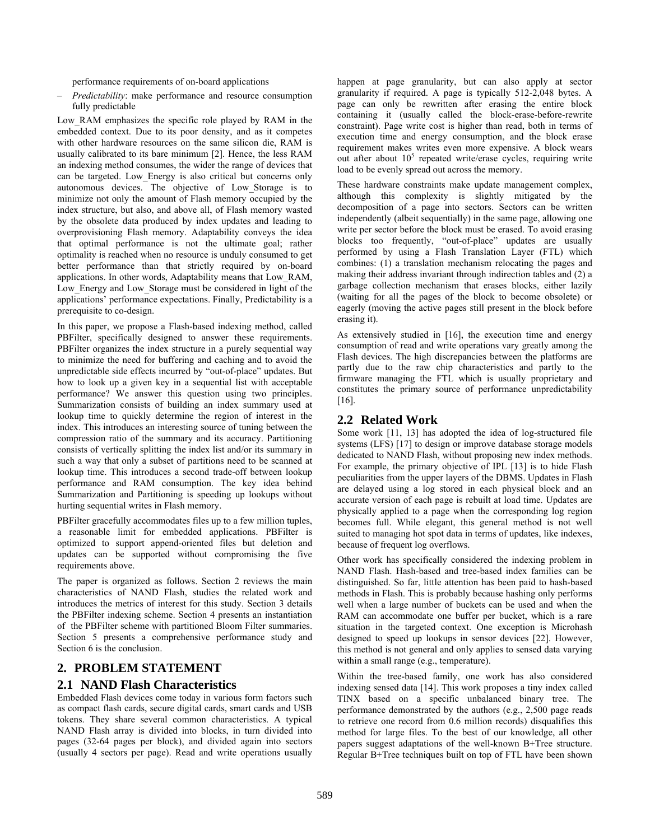performance requirements of on-board applications

– *Predictability*: make performance and resource consumption fully predictable

Low\_RAM emphasizes the specific role played by RAM in the embedded context. Due to its poor density, and as it competes with other hardware resources on the same silicon die, RAM is usually calibrated to its bare minimum [2]. Hence, the less RAM an indexing method consumes, the wider the range of devices that can be targeted. Low\_Energy is also critical but concerns only autonomous devices. The objective of Low\_Storage is to minimize not only the amount of Flash memory occupied by the index structure, but also, and above all, of Flash memory wasted by the obsolete data produced by index updates and leading to overprovisioning Flash memory. Adaptability conveys the idea that optimal performance is not the ultimate goal; rather optimality is reached when no resource is unduly consumed to get better performance than that strictly required by on-board applications. In other words, Adaptability means that Low\_RAM, Low\_Energy and Low\_Storage must be considered in light of the applications' performance expectations. Finally, Predictability is a prerequisite to co-design.

In this paper, we propose a Flash-based indexing method, called PBFilter, specifically designed to answer these requirements. PBFilter organizes the index structure in a purely sequential way to minimize the need for buffering and caching and to avoid the unpredictable side effects incurred by "out-of-place" updates. But how to look up a given key in a sequential list with acceptable performance? We answer this question using two principles. Summarization consists of building an index summary used at lookup time to quickly determine the region of interest in the index. This introduces an interesting source of tuning between the compression ratio of the summary and its accuracy. Partitioning consists of vertically splitting the index list and/or its summary in such a way that only a subset of partitions need to be scanned at lookup time. This introduces a second trade-off between lookup performance and RAM consumption. The key idea behind Summarization and Partitioning is speeding up lookups without hurting sequential writes in Flash memory.

PBFilter gracefully accommodates files up to a few million tuples, a reasonable limit for embedded applications. PBFilter is optimized to support append-oriented files but deletion and updates can be supported without compromising the five requirements above.

The paper is organized as follows. Section 2 reviews the main characteristics of NAND Flash, studies the related work and introduces the metrics of interest for this study. Section 3 details the PBFilter indexing scheme. Section 4 presents an instantiation of the PBFilter scheme with partitioned Bloom Filter summaries. Section 5 presents a comprehensive performance study and Section 6 is the conclusion.

# **2. PROBLEM STATEMENT**

## **2.1 NAND Flash Characteristics**

Embedded Flash devices come today in various form factors such as compact flash cards, secure digital cards, smart cards and USB tokens. They share several common characteristics. A typical NAND Flash array is divided into blocks, in turn divided into pages (32-64 pages per block), and divided again into sectors (usually 4 sectors per page). Read and write operations usually

happen at page granularity, but can also apply at sector granularity if required. A page is typically 512-2,048 bytes. A page can only be rewritten after erasing the entire block containing it (usually called the block-erase-before-rewrite constraint). Page write cost is higher than read, both in terms of execution time and energy consumption, and the block erase requirement makes writes even more expensive. A block wears out after about  $10^5$  repeated write/erase cycles, requiring write load to be evenly spread out across the memory.

These hardware constraints make update management complex, although this complexity is slightly mitigated by the decomposition of a page into sectors. Sectors can be written independently (albeit sequentially) in the same page, allowing one write per sector before the block must be erased. To avoid erasing blocks too frequently, "out-of-place" updates are usually performed by using a Flash Translation Layer (FTL) which combines: (1) a translation mechanism relocating the pages and making their address invariant through indirection tables and (2) a garbage collection mechanism that erases blocks, either lazily (waiting for all the pages of the block to become obsolete) or eagerly (moving the active pages still present in the block before erasing it).

As extensively studied in [16], the execution time and energy consumption of read and write operations vary greatly among the Flash devices. The high discrepancies between the platforms are partly due to the raw chip characteristics and partly to the firmware managing the FTL which is usually proprietary and constitutes the primary source of performance unpredictability [16].

## **2.2 Related Work**

Some work [11, 13] has adopted the idea of log-structured file systems (LFS) [17] to design or improve database storage models dedicated to NAND Flash, without proposing new index methods. For example, the primary objective of IPL [13] is to hide Flash peculiarities from the upper layers of the DBMS. Updates in Flash are delayed using a log stored in each physical block and an accurate version of each page is rebuilt at load time. Updates are physically applied to a page when the corresponding log region becomes full. While elegant, this general method is not well suited to managing hot spot data in terms of updates, like indexes, because of frequent log overflows.

Other work has specifically considered the indexing problem in NAND Flash. Hash-based and tree-based index families can be distinguished. So far, little attention has been paid to hash-based methods in Flash. This is probably because hashing only performs well when a large number of buckets can be used and when the RAM can accommodate one buffer per bucket, which is a rare situation in the targeted context. One exception is Microhash designed to speed up lookups in sensor devices [22]. However, this method is not general and only applies to sensed data varying within a small range (e.g., temperature).

Within the tree-based family, one work has also considered indexing sensed data [14]. This work proposes a tiny index called TINX based on a specific unbalanced binary tree. The performance demonstrated by the authors (e.g., 2,500 page reads to retrieve one record from 0.6 million records) disqualifies this method for large files. To the best of our knowledge, all other papers suggest adaptations of the well-known B+Tree structure. Regular B+Tree techniques built on top of FTL have been shown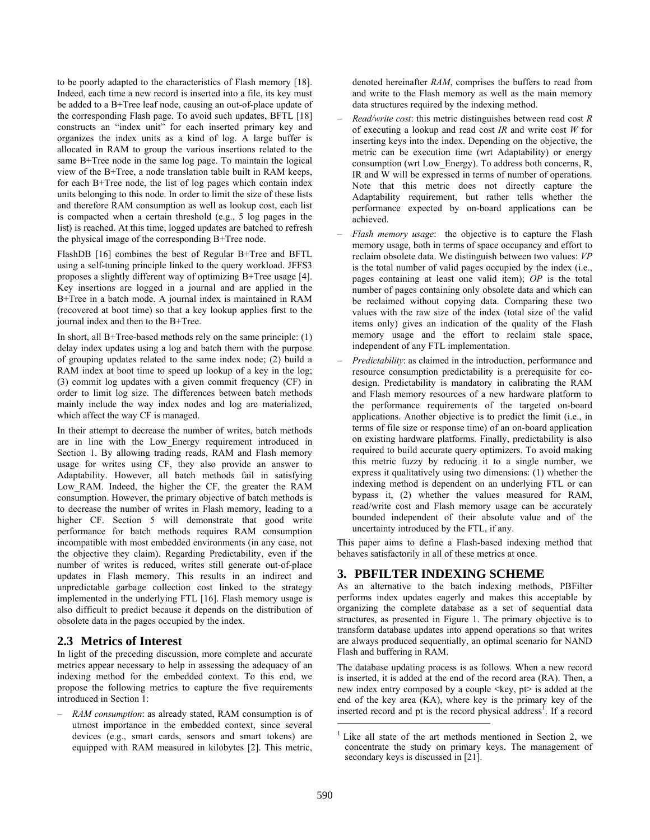to be poorly adapted to the characteristics of Flash memory [18]. Indeed, each time a new record is inserted into a file, its key must be added to a B+Tree leaf node, causing an out-of-place update of the corresponding Flash page. To avoid such updates, BFTL [18] constructs an "index unit" for each inserted primary key and organizes the index units as a kind of log. A large buffer is allocated in RAM to group the various insertions related to the same B+Tree node in the same log page. To maintain the logical view of the B+Tree, a node translation table built in RAM keeps, for each B+Tree node, the list of log pages which contain index units belonging to this node. In order to limit the size of these lists and therefore RAM consumption as well as lookup cost, each list is compacted when a certain threshold (e.g., 5 log pages in the list) is reached. At this time, logged updates are batched to refresh the physical image of the corresponding B+Tree node.

FlashDB [16] combines the best of Regular B+Tree and BFTL using a self-tuning principle linked to the query workload. JFFS3 proposes a slightly different way of optimizing B+Tree usage [4]. Key insertions are logged in a journal and are applied in the B+Tree in a batch mode. A journal index is maintained in RAM (recovered at boot time) so that a key lookup applies first to the journal index and then to the B+Tree.

In short, all B+Tree-based methods rely on the same principle: (1) delay index updates using a log and batch them with the purpose of grouping updates related to the same index node; (2) build a RAM index at boot time to speed up lookup of a key in the log; (3) commit log updates with a given commit frequency (CF) in order to limit log size. The differences between batch methods mainly include the way index nodes and log are materialized, which affect the way CF is managed.

In their attempt to decrease the number of writes, batch methods are in line with the Low\_Energy requirement introduced in Section 1. By allowing trading reads, RAM and Flash memory usage for writes using CF, they also provide an answer to Adaptability. However, all batch methods fail in satisfying Low RAM. Indeed, the higher the CF, the greater the RAM consumption. However, the primary objective of batch methods is to decrease the number of writes in Flash memory, leading to a higher CF. Section 5 will demonstrate that good write performance for batch methods requires RAM consumption incompatible with most embedded environments (in any case, not the objective they claim). Regarding Predictability, even if the number of writes is reduced, writes still generate out-of-place updates in Flash memory. This results in an indirect and unpredictable garbage collection cost linked to the strategy implemented in the underlying FTL [16]. Flash memory usage is also difficult to predict because it depends on the distribution of obsolete data in the pages occupied by the index.

# **2.3 Metrics of Interest**

In light of the preceding discussion, more complete and accurate metrics appear necessary to help in assessing the adequacy of an indexing method for the embedded context. To this end, we propose the following metrics to capture the five requirements introduced in Section 1:

– *RAM consumption*: as already stated, RAM consumption is of utmost importance in the embedded context, since several devices (e.g., smart cards, sensors and smart tokens) are equipped with RAM measured in kilobytes [2]. This metric,

denoted hereinafter *RAM*, comprises the buffers to read from and write to the Flash memory as well as the main memory data structures required by the indexing method.

- *Read/write cost*: this metric distinguishes between read cost *R* of executing a lookup and read cost *IR* and write cost *W* for inserting keys into the index. Depending on the objective, the metric can be execution time (wrt Adaptability) or energy consumption (wrt Low\_Energy). To address both concerns, R, IR and W will be expressed in terms of number of operations. Note that this metric does not directly capture the Adaptability requirement, but rather tells whether the performance expected by on-board applications can be achieved.
- *Flash memory usage*: the objective is to capture the Flash memory usage, both in terms of space occupancy and effort to reclaim obsolete data. We distinguish between two values: *VP* is the total number of valid pages occupied by the index (i.e., pages containing at least one valid item); *OP* is the total number of pages containing only obsolete data and which can be reclaimed without copying data. Comparing these two values with the raw size of the index (total size of the valid items only) gives an indication of the quality of the Flash memory usage and the effort to reclaim stale space, independent of any FTL implementation.
- *Predictability*: as claimed in the introduction, performance and resource consumption predictability is a prerequisite for codesign. Predictability is mandatory in calibrating the RAM and Flash memory resources of a new hardware platform to the performance requirements of the targeted on-board applications. Another objective is to predict the limit (i.e., in terms of file size or response time) of an on-board application on existing hardware platforms. Finally, predictability is also required to build accurate query optimizers. To avoid making this metric fuzzy by reducing it to a single number, we express it qualitatively using two dimensions: (1) whether the indexing method is dependent on an underlying FTL or can bypass it, (2) whether the values measured for RAM, read/write cost and Flash memory usage can be accurately bounded independent of their absolute value and of the uncertainty introduced by the FTL, if any.

This paper aims to define a Flash-based indexing method that behaves satisfactorily in all of these metrics at once.

# **3. PBFILTER INDEXING SCHEME**

As an alternative to the batch indexing methods, PBFilter performs index updates eagerly and makes this acceptable by organizing the complete database as a set of sequential data structures, as presented in Figure 1. The primary objective is to transform database updates into append operations so that writes are always produced sequentially, an optimal scenario for NAND Flash and buffering in RAM.

The database updating process is as follows. When a new record is inserted, it is added at the end of the record area (RA). Then, a new index entry composed by a couple <key,  $pt$  is added at the end of the key area (KA), where key is the primary key of the inserted record and pt is the record physical address<sup>1</sup>. If a record

 $\overline{a}$ 

<sup>&</sup>lt;sup>1</sup> Like all state of the art methods mentioned in Section 2, we concentrate the study on primary keys. The management of secondary keys is discussed in [21].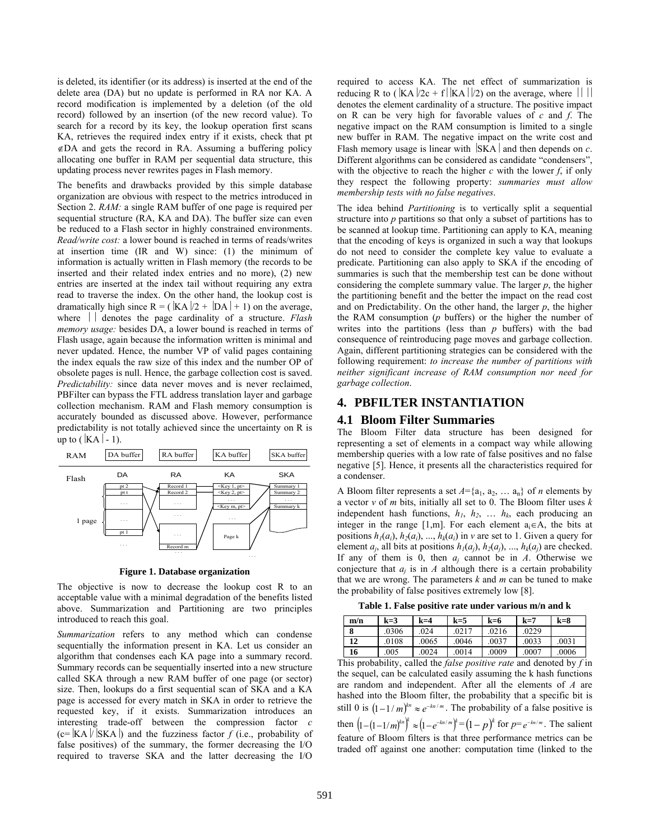is deleted, its identifier (or its address) is inserted at the end of the delete area (DA) but no update is performed in RA nor KA. A record modification is implemented by a deletion (of the old record) followed by an insertion (of the new record value). To search for a record by its key, the lookup operation first scans KA, retrieves the required index entry if it exists, check that pt ∉DA and gets the record in RA. Assuming a buffering policy allocating one buffer in RAM per sequential data structure, this updating process never rewrites pages in Flash memory.

The benefits and drawbacks provided by this simple database organization are obvious with respect to the metrics introduced in Section 2. *RAM:* a single RAM buffer of one page is required per sequential structure (RA, KA and DA). The buffer size can even be reduced to a Flash sector in highly constrained environments. *Read/write cost:* a lower bound is reached in terms of reads/writes at insertion time (IR and W) since: (1) the minimum of information is actually written in Flash memory (the records to be inserted and their related index entries and no more), (2) new entries are inserted at the index tail without requiring any extra read to traverse the index. On the other hand, the lookup cost is dramatically high since R = ( $\vert$ KA $\vert$ /2 +  $\vert$ DA $\vert$  + 1) on the average, where  $\|\cdot\|$  denotes the page cardinality of a structure. *Flash memory usage:* besides DA, a lower bound is reached in terms of Flash usage, again because the information written is minimal and never updated. Hence, the number VP of valid pages containing the index equals the raw size of this index and the number OP of obsolete pages is null. Hence, the garbage collection cost is saved. *Predictability:* since data never moves and is never reclaimed, PBFilter can bypass the FTL address translation layer and garbage collection mechanism. RAM and Flash memory consumption is accurately bounded as discussed above. However, performance predictability is not totally achieved since the uncertainty on R is up to  $(|KA| - 1)$ .



**Figure 1. Database organization** 

The objective is now to decrease the lookup cost R to an acceptable value with a minimal degradation of the benefits listed above. Summarization and Partitioning are two principles introduced to reach this goal.

*Summarization* refers to any method which can condense sequentially the information present in KA. Let us consider an algorithm that condenses each KA page into a summary record. Summary records can be sequentially inserted into a new structure called SKA through a new RAM buffer of one page (or sector) size. Then, lookups do a first sequential scan of SKA and a KA page is accessed for every match in SKA in order to retrieve the requested key, if it exists. Summarization introduces an interesting trade-off between the compression factor *c*  $(c=|KA|/|SKA|)$  and the fuzziness factor *f* (i.e., probability of false positives) of the summary, the former decreasing the I/O required to traverse SKA and the latter decreasing the I/O

required to access KA. The net effect of summarization is reducing R to ( $\vert$ KA $\vert$ /2c + f $\vert$ |KA $\vert$ /2) on the average, where  $\vert$ | $\vert$ | denotes the element cardinality of a structure. The positive impact on R can be very high for favorable values of *c* and *f*. The negative impact on the RAM consumption is limited to a single new buffer in RAM. The negative impact on the write cost and Flash memory usage is linear with  $|SKA|$  and then depends on  $c$ . Different algorithms can be considered as candidate "condensers", with the objective to reach the higher *c* with the lower *f*, if only they respect the following property: *summaries must allow membership tests with no false negatives*.

The idea behind *Partitioning* is to vertically split a sequential structure into *p* partitions so that only a subset of partitions has to be scanned at lookup time. Partitioning can apply to KA, meaning that the encoding of keys is organized in such a way that lookups do not need to consider the complete key value to evaluate a predicate. Partitioning can also apply to SKA if the encoding of summaries is such that the membership test can be done without considering the complete summary value. The larger *p*, the higher the partitioning benefit and the better the impact on the read cost and on Predictability. On the other hand, the larger *p*, the higher the RAM consumption (*p* buffers) or the higher the number of writes into the partitions (less than *p* buffers) with the bad consequence of reintroducing page moves and garbage collection. Again, different partitioning strategies can be considered with the following requirement: *to increase the number of partitions with neither significant increase of RAM consumption nor need for garbage collection*.

# **4. PBFILTER INSTANTIATION**

#### **4.1 Bloom Filter Summaries**

The Bloom Filter data structure has been designed for representing a set of elements in a compact way while allowing membership queries with a low rate of false positives and no false negative [5]. Hence, it presents all the characteristics required for a condenser.

A Bloom filter represents a set  $A = \{a_1, a_2, \dots a_n\}$  of *n* elements by a vector *v* of *m* bits, initially all set to 0. The Bloom filter uses *k* independent hash functions,  $h_1$ ,  $h_2$ , ...  $h_k$ , each producing an integer in the range [1,m]. For each element  $a_i \in A$ , the bits at positions  $h_1(a_i)$ ,  $h_2(a_i)$ , ...,  $h_k(a_i)$  in *v* are set to 1. Given a query for element  $a_j$ , all bits at positions  $h_l(a_j)$ ,  $h_2(a_j)$ , ...,  $h_k(a_j)$  are checked. If any of them is  $\overline{0}$ , then  $a_i$  cannot be in  $\overline{A}$ . Otherwise we conjecture that  $a_i$  is in  $\Lambda$  although there is a certain probability that we are wrong. The parameters *k* and *m* can be tuned to make the probability of false positives extremely low [8].

**Table 1. False positive rate under various m/n and k**

| m/n | $k=3$ | k=4  | $k=5$ | $k=6$ | $k=7$ | $k=8$ |
|-----|-------|------|-------|-------|-------|-------|
| 8   | .0306 | 024  | .0217 | 0216  | .0229 |       |
| 12  | 0108  | 0065 | .0046 | 0037  | .0033 | .0031 |
| 16  | .005  | 0024 | 0014  | 0009  | .0007 | .0006 |

This probability, called the *false positive rate* and denoted by *f* in the sequel, can be calculated easily assuming the k hash functions are random and independent. After all the elements of *A* are hashed into the Bloom filter, the probability that a specific bit is still 0 is  $(1 - 1/m)^{kn} \approx e^{-kn/m}$ . The probability of a false positive is then  $(1 - (1 - 1/m)^{kn} \approx (1 - e^{-kn/m})^k = (1 - p)^k$  for  $p = e^{-kn/m}$ . The salient feature of Bloom filters is that three performance metrics can be traded off against one another: computation time (linked to the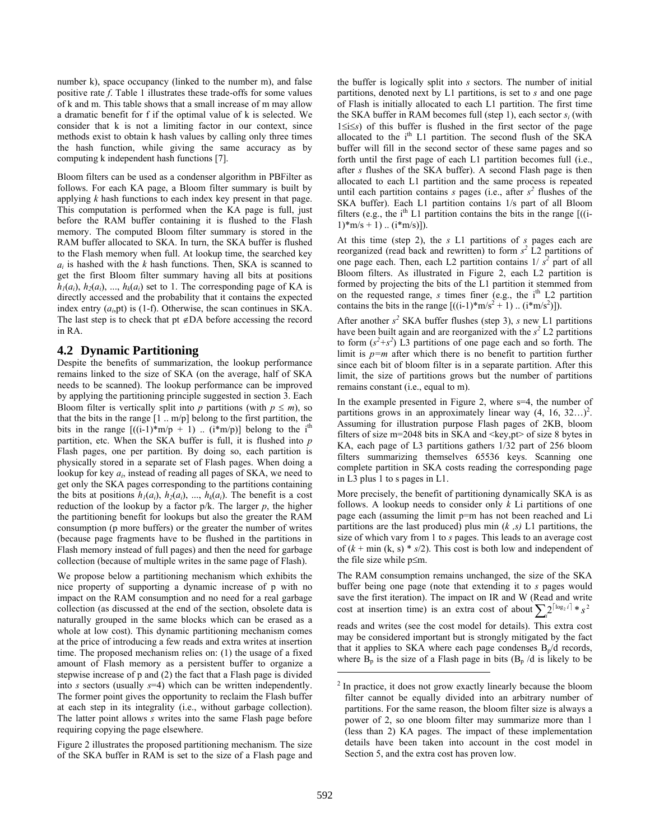number k), space occupancy (linked to the number m), and false positive rate *f*. Table 1 illustrates these trade-offs for some values of k and m. This table shows that a small increase of m may allow a dramatic benefit for f if the optimal value of k is selected. We consider that k is not a limiting factor in our context, since methods exist to obtain k hash values by calling only three times the hash function, while giving the same accuracy as by computing k independent hash functions [7].

Bloom filters can be used as a condenser algorithm in PBFilter as follows. For each KA page, a Bloom filter summary is built by applying *k* hash functions to each index key present in that page. This computation is performed when the KA page is full, just before the RAM buffer containing it is flushed to the Flash memory. The computed Bloom filter summary is stored in the RAM buffer allocated to SKA. In turn, the SKA buffer is flushed to the Flash memory when full. At lookup time, the searched key  $a_i$  is hashed with the  $k$  hash functions. Then, SKA is scanned to get the first Bloom filter summary having all bits at positions  $h_1(a_i)$ ,  $h_2(a_i)$ , ...,  $h_k(a_i)$  set to 1. The corresponding page of KA is directly accessed and the probability that it contains the expected index entry (*a<sub>i</sub>*,pt) is (1-f). Otherwise, the scan continues in SKA. The last step is to check that pt ∉DA before accessing the record in RA.

## **4.2 Dynamic Partitioning**

Despite the benefits of summarization, the lookup performance remains linked to the size of SKA (on the average, half of SKA needs to be scanned). The lookup performance can be improved by applying the partitioning principle suggested in section 3. Each Bloom filter is vertically split into *p* partitions (with  $p \le m$ ), so that the bits in the range  $[1 \t ... m/p]$  belong to the first partition, the bits in the range  $[(i-1)*m/p + 1)$ ...  $(i*m/p)]$  belong to the i<sup>th</sup> partition, etc. When the SKA buffer is full, it is flushed into *p* Flash pages, one per partition. By doing so, each partition is physically stored in a separate set of Flash pages. When doing a lookup for key  $a_i$ , instead of reading all pages of SKA, we need to get only the SKA pages corresponding to the partitions containing the bits at positions  $h_1(a_i)$ ,  $h_2(a_i)$ , ...,  $h_k(a_i)$ . The benefit is a cost reduction of the lookup by a factor p/k. The larger *p*, the higher the partitioning benefit for lookups but also the greater the RAM consumption (p more buffers) or the greater the number of writes (because page fragments have to be flushed in the partitions in Flash memory instead of full pages) and then the need for garbage collection (because of multiple writes in the same page of Flash).

We propose below a partitioning mechanism which exhibits the nice property of supporting a dynamic increase of p with no impact on the RAM consumption and no need for a real garbage collection (as discussed at the end of the section, obsolete data is naturally grouped in the same blocks which can be erased as a whole at low cost). This dynamic partitioning mechanism comes at the price of introducing a few reads and extra writes at insertion time. The proposed mechanism relies on: (1) the usage of a fixed amount of Flash memory as a persistent buffer to organize a stepwise increase of p and (2) the fact that a Flash page is divided into *s* sectors (usually *s*=4) which can be written independently. The former point gives the opportunity to reclaim the Flash buffer at each step in its integrality (i.e., without garbage collection). The latter point allows *s* writes into the same Flash page before requiring copying the page elsewhere.

Figure 2 illustrates the proposed partitioning mechanism. The size of the SKA buffer in RAM is set to the size of a Flash page and the buffer is logically split into *s* sectors. The number of initial partitions, denoted next by L1 partitions, is set to *s* and one page of Flash is initially allocated to each L1 partition. The first time the SKA buffer in RAM becomes full (step 1), each sector  $s_i$  (with 1≤i≤*s*) of this buffer is flushed in the first sector of the page allocated to the  $i<sup>th</sup> L1$  partition. The second flush of the SKA buffer will fill in the second sector of these same pages and so forth until the first page of each L1 partition becomes full (i.e., after *s* flushes of the SKA buffer). A second Flash page is then allocated to each L1 partition and the same process is repeated until each partition contains *s* pages (i.e., after  $s^2$  flushes of the SKA buffer). Each L1 partition contains 1/s part of all Bloom filters (e.g., the i<sup>th</sup> L1 partition contains the bits in the range  $\left[$ ((i- $1)*m/s + 1$ .. ( $i*m/s$ )]).

At this time (step 2), the *s* L1 partitions of *s* pages each are reorganized (read back and rewritten) to form  $s^2$  L<sub>2</sub> partitions of one page each. Then, each L2 partition contains  $1/\overline{s}^2$  part of all Bloom filters. As illustrated in Figure 2, each L2 partition is formed by projecting the bits of the L1 partition it stemmed from on the requested range,  $s$  times finer  $(e.g., the i<sup>th</sup> L2$  partition contains the bits in the range  $[((i-1)*m/s^2 + 1)...(i*m/s^2)])$ .

After another  $s^2$  SKA buffer flushes (step 3), *s* new L1 partitions have been built again and are reorganized with the  $s^2$  L<sub>2</sub> partitions to form  $(s^2+s^2)$  L<sub>3</sub> partitions of one page each and so forth. The limit is  $p=m$  after which there is no benefit to partition further since each bit of bloom filter is in a separate partition. After this limit, the size of partitions grows but the number of partitions remains constant (i.e., equal to m).

In the example presented in Figure 2, where s=4, the number of partitions grows in an approximately linear way  $(4, 16, 32...)^2$ . Assuming for illustration purpose Flash pages of 2KB, bloom filters of size m=2048 bits in SKA and  $\langle key, pt \rangle$  of size 8 bytes in KA, each page of L3 partitions gathers 1/32 part of 256 bloom filters summarizing themselves 65536 keys. Scanning one complete partition in SKA costs reading the corresponding page in L3 plus 1 to s pages in L1.

More precisely, the benefit of partitioning dynamically SKA is as follows. A lookup needs to consider only *k* Li partitions of one page each (assuming the limit p=m has not been reached and Li partitions are the last produced) plus min  $(k, s)$  L1 partitions, the size of which vary from 1 to *s* pages. This leads to an average cost of  $(k + min (k, s) * s/2)$ . This cost is both low and independent of the file size while p≤m.

The RAM consumption remains unchanged, the size of the SKA buffer being one page (note that extending it to *s* pages would save the first iteration). The impact on IR and W (Read and write cost at insertion time) is an extra cost of about  $\sum_i \sum_{i=1}^{\lfloor \log_2 i \rfloor} * s^2$ 

reads and writes (see the cost model for details). This extra cost may be considered important but is strongly mitigated by the fact that it applies to SKA where each page condenses  $B_p/d$  records, where  $\overrightarrow{B_p}$  is the size of a Flash page in bits ( $B_p / d$  is likely to be

 $\overline{a}$ 

<sup>&</sup>lt;sup>2</sup> In practice, it does not grow exactly linearly because the bloom filter cannot be equally divided into an arbitrary number of partitions. For the same reason, the bloom filter size is always a power of 2, so one bloom filter may summarize more than 1 (less than 2) KA pages. The impact of these implementation details have been taken into account in the cost model in Section 5, and the extra cost has proven low.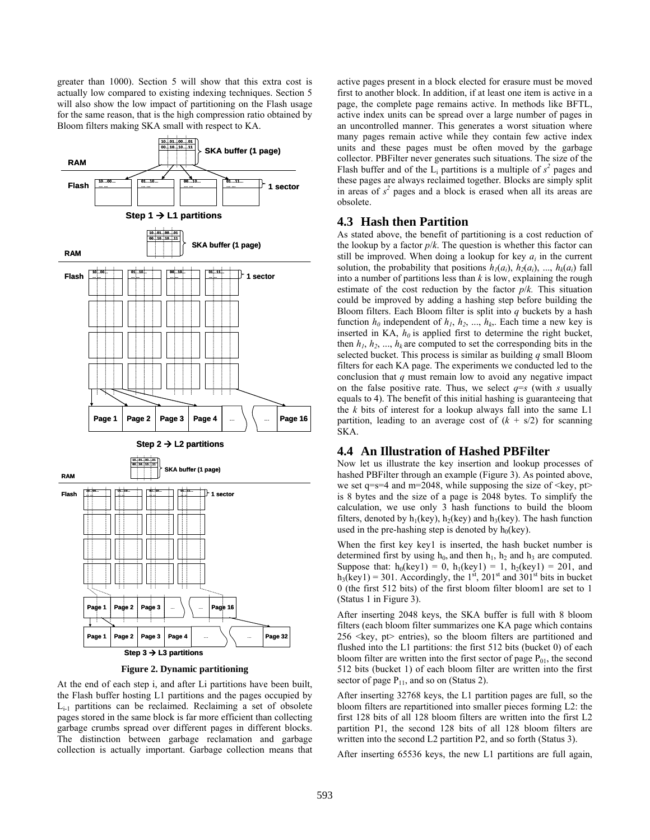greater than 1000). Section 5 will show that this extra cost is actually low compared to existing indexing techniques. Section 5 will also show the low impact of partitioning on the Flash usage for the same reason, that is the high compression ratio obtained by Bloom filters making SKA small with respect to KA.



**Figure 2. Dynamic partitioning** 

At the end of each step i, and after Li partitions have been built, the Flash buffer hosting L1 partitions and the pages occupied by Li-1 partitions can be reclaimed. Reclaiming a set of obsolete pages stored in the same block is far more efficient than collecting garbage crumbs spread over different pages in different blocks. The distinction between garbage reclamation and garbage collection is actually important. Garbage collection means that active pages present in a block elected for erasure must be moved first to another block. In addition, if at least one item is active in a page, the complete page remains active. In methods like BFTL, active index units can be spread over a large number of pages in an uncontrolled manner. This generates a worst situation where many pages remain active while they contain few active index units and these pages must be often moved by the garbage collector. PBFilter never generates such situations. The size of the Flash buffer and of the  $\overline{L}_i$  partitions is a multiple of  $s^2$  pages and these pages are always reclaimed together. Blocks are simply split in areas of  $s^2$  pages and a block is erased when all its areas are obsolete.

## **4.3 Hash then Partition**

As stated above, the benefit of partitioning is a cost reduction of the lookup by a factor  $p/k$ . The question is whether this factor can still be improved. When doing a lookup for key  $a_i$  in the current solution, the probability that positions  $h_1(a_i)$ ,  $h_2(a_i)$ , ...,  $h_k(a_i)$  fall into a number of partitions less than *k* is low, explaining the rough estimate of the cost reduction by the factor  $p/k$ . This situation could be improved by adding a hashing step before building the Bloom filters. Each Bloom filter is split into *q* buckets by a hash function  $h_0$  independent of  $h_1$ ,  $h_2$ , ...,  $h_k$ . Each time a new key is inserted in KA,  $h_0$  is applied first to determine the right bucket, then  $h_1, h_2, ..., h_k$  are computed to set the corresponding bits in the selected bucket. This process is similar as building *q* small Bloom filters for each KA page. The experiments we conducted led to the conclusion that *q* must remain low to avoid any negative impact on the false positive rate. Thus, we select  $q = s$  (with *s* usually equals to 4). The benefit of this initial hashing is guaranteeing that the *k* bits of interest for a lookup always fall into the same L1 partition, leading to an average cost of  $(k + s/2)$  for scanning SKA.

## **4.4 An Illustration of Hashed PBFilter**

Now let us illustrate the key insertion and lookup processes of hashed PBFilter through an example (Figure 3). As pointed above, we set q=s=4 and m=2048, while supposing the size of  $\langle \text{key}, \text{pt} \rangle$ is 8 bytes and the size of a page is 2048 bytes. To simplify the calculation, we use only 3 hash functions to build the bloom filters, denoted by  $h_1$ (key),  $h_2$ (key) and  $h_3$ (key). The hash function used in the pre-hashing step is denoted by  $h_0(key)$ .

When the first key key1 is inserted, the hash bucket number is determined first by using  $h_0$ , and then  $h_1$ ,  $h_2$  and  $h_3$  are computed. Suppose that:  $h_0(key1) = 0$ ,  $h_1(key1) = 1$ ,  $h_2(key1) = 201$ , and  $h_3(key1) = 301$ . Accordingly, the 1<sup>st</sup>, 201<sup>st</sup> and 301<sup>st</sup> bits in bucket 0 (the first 512 bits) of the first bloom filter bloom1 are set to 1 (Status 1 in Figure 3).

After inserting 2048 keys, the SKA buffer is full with 8 bloom filters (each bloom filter summarizes one KA page which contains  $256 \leq$ key, pt> entries), so the bloom filters are partitioned and flushed into the L1 partitions: the first 512 bits (bucket 0) of each bloom filter are written into the first sector of page  $P_{01}$ , the second 512 bits (bucket 1) of each bloom filter are written into the first sector of page  $P_{11}$ , and so on (Status 2).

After inserting 32768 keys, the L1 partition pages are full, so the bloom filters are repartitioned into smaller pieces forming L2: the first 128 bits of all 128 bloom filters are written into the first L2 partition P1, the second 128 bits of all 128 bloom filters are written into the second L2 partition P2, and so forth (Status 3).

After inserting 65536 keys, the new L1 partitions are full again,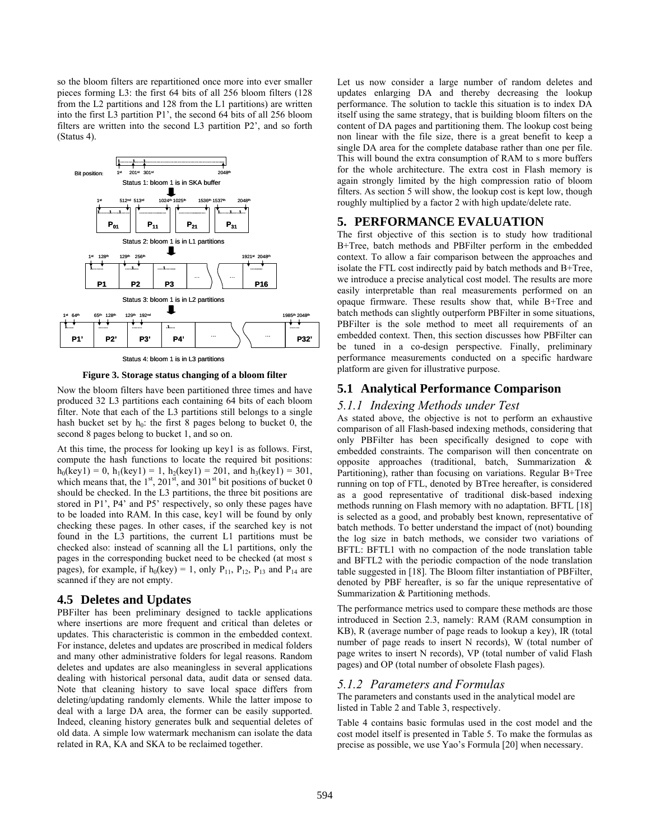so the bloom filters are repartitioned once more into ever smaller pieces forming L3: the first 64 bits of all 256 bloom filters (128 from the L2 partitions and 128 from the L1 partitions) are written into the first L3 partition P1', the second 64 bits of all 256 bloom filters are written into the second L3 partition P2', and so forth (Status 4).



Status 4: bloom 1 is in L3 partitions

**Figure 3. Storage status changing of a bloom filter** 

Now the bloom filters have been partitioned three times and have produced 32 L3 partitions each containing 64 bits of each bloom filter. Note that each of the L3 partitions still belongs to a single hash bucket set by  $h_0$ : the first 8 pages belong to bucket 0, the second 8 pages belong to bucket 1, and so on.

At this time, the process for looking up key1 is as follows. First, compute the hash functions to locate the required bit positions:  $h_0(\text{key1}) = 0$ ,  $h_1(\text{key1}) = 1$ ,  $h_2(\text{key1}) = 201$ , and  $h_3(\text{key1}) = 301$ , which means that, the  $1^{st}$ ,  $201^{st}$ , and  $301^{st}$  bit positions of bucket 0 should be checked. In the L3 partitions, the three bit positions are stored in P1', P4' and P5' respectively, so only these pages have to be loaded into RAM. In this case, key1 will be found by only checking these pages. In other cases, if the searched key is not found in the L3 partitions, the current L1 partitions must be checked also: instead of scanning all the L1 partitions, only the pages in the corresponding bucket need to be checked (at most s pages), for example, if  $h_0(key) = 1$ , only  $P_{11}$ ,  $P_{12}$ ,  $P_{13}$  and  $P_{14}$  are scanned if they are not empty.

#### **4.5 Deletes and Updates**

PBFilter has been preliminary designed to tackle applications where insertions are more frequent and critical than deletes or updates. This characteristic is common in the embedded context. For instance, deletes and updates are proscribed in medical folders and many other administrative folders for legal reasons. Random deletes and updates are also meaningless in several applications dealing with historical personal data, audit data or sensed data. Note that cleaning history to save local space differs from deleting/updating randomly elements. While the latter impose to deal with a large DA area, the former can be easily supported. Indeed, cleaning history generates bulk and sequential deletes of old data. A simple low watermark mechanism can isolate the data related in RA, KA and SKA to be reclaimed together.

Let us now consider a large number of random deletes and updates enlarging DA and thereby decreasing the lookup performance. The solution to tackle this situation is to index DA itself using the same strategy, that is building bloom filters on the content of DA pages and partitioning them. The lookup cost being non linear with the file size, there is a great benefit to keep a single DA area for the complete database rather than one per file. This will bound the extra consumption of RAM to s more buffers for the whole architecture. The extra cost in Flash memory is again strongly limited by the high compression ratio of bloom filters. As section 5 will show, the lookup cost is kept low, though roughly multiplied by a factor 2 with high update/delete rate.

## **5. PERFORMANCE EVALUATION**

The first objective of this section is to study how traditional B+Tree, batch methods and PBFilter perform in the embedded context. To allow a fair comparison between the approaches and isolate the FTL cost indirectly paid by batch methods and B+Tree, we introduce a precise analytical cost model. The results are more easily interpretable than real measurements performed on an opaque firmware. These results show that, while B+Tree and batch methods can slightly outperform PBFilter in some situations, PBFilter is the sole method to meet all requirements of an embedded context. Then, this section discusses how PBFilter can be tuned in a co-design perspective. Finally, preliminary performance measurements conducted on a specific hardware platform are given for illustrative purpose.

#### **5.1 Analytical Performance Comparison**

#### *5.1.1 Indexing Methods under Test*

As stated above, the objective is not to perform an exhaustive comparison of all Flash-based indexing methods, considering that only PBFilter has been specifically designed to cope with embedded constraints. The comparison will then concentrate on opposite approaches (traditional, batch, Summarization & Partitioning), rather than focusing on variations. Regular B+Tree running on top of FTL, denoted by BTree hereafter, is considered as a good representative of traditional disk-based indexing methods running on Flash memory with no adaptation. BFTL [18] is selected as a good, and probably best known, representative of batch methods. To better understand the impact of (not) bounding the log size in batch methods, we consider two variations of BFTL: BFTL1 with no compaction of the node translation table and BFTL2 with the periodic compaction of the node translation table suggested in [18]. The Bloom filter instantiation of PBFilter, denoted by PBF hereafter, is so far the unique representative of Summarization & Partitioning methods.

The performance metrics used to compare these methods are those introduced in Section 2.3, namely: RAM (RAM consumption in KB), R (average number of page reads to lookup a key), IR (total number of page reads to insert N records), W (total number of page writes to insert N records), VP (total number of valid Flash pages) and OP (total number of obsolete Flash pages).

#### *5.1.2 Parameters and Formulas*

The parameters and constants used in the analytical model are listed in Table 2 and Table 3, respectively.

Table 4 contains basic formulas used in the cost model and the cost model itself is presented in Table 5. To make the formulas as precise as possible, we use Yao's Formula [20] when necessary.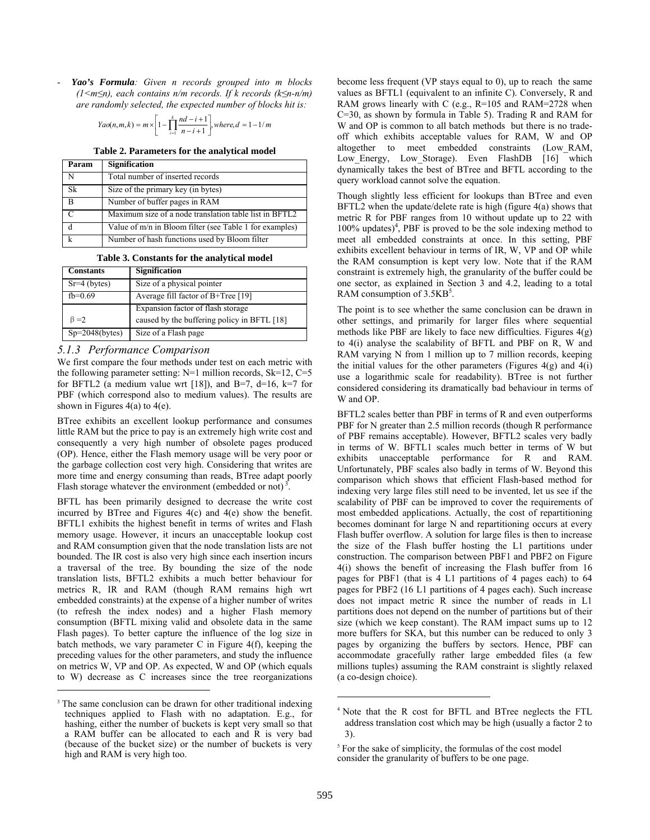- *Yao's Formula: Given n records grouped into m blocks (1<m≤n), each contains n/m records. If k records (k≤n-n/m) are randomly selected, the expected number of blocks hit is:* 

$$
Yao(n,m,k) = m \times \left[1 - \prod_{i=1}^{k} \frac{nd - i + 1}{n - i + 1}\right], where \, d = 1 - 1/m
$$

**Table 2. Parameters for the analytical model** 

| Param | <b>Signification</b>                                    |
|-------|---------------------------------------------------------|
| N     | Total number of inserted records                        |
| Sk    | Size of the primary key (in bytes)                      |
| R     | Number of buffer pages in RAM                           |
|       | Maximum size of a node translation table list in BFTL2  |
|       | Value of m/n in Bloom filter (see Table 1 for examples) |
| k     | Number of hash functions used by Bloom filter           |

**Table 3. Constants for the analytical model**

| <b>Constants</b> | <b>Signification</b>                        |
|------------------|---------------------------------------------|
| $Sr=4$ (bytes)   | Size of a physical pointer                  |
| fb= $0.69$       | Average fill factor of B+Tree [19]          |
|                  | Expansion factor of flash storage           |
| $\beta = 2$      | caused by the buffering policy in BFTL [18] |
| $Sp=2048(bytes)$ | Size of a Flash page                        |

## *5.1.3 Performance Comparison*

We first compare the four methods under test on each metric with the following parameter setting:  $N=1$  million records,  $Sk=12$ ,  $C=5$ for BFTL2 (a medium value wrt [18]), and B=7, d=16, k=7 for PBF (which correspond also to medium values). The results are shown in Figures  $4(a)$  to  $4(e)$ .

BTree exhibits an excellent lookup performance and consumes little RAM but the price to pay is an extremely high write cost and consequently a very high number of obsolete pages produced (OP). Hence, either the Flash memory usage will be very poor or the garbage collection cost very high. Considering that writes are more time and energy consuming than reads, BTree adapt poorly Flash storage whatever the environment (embedded or not)<sup>3</sup>.

BFTL has been primarily designed to decrease the write cost incurred by BTree and Figures 4(c) and 4(e) show the benefit. BFTL1 exhibits the highest benefit in terms of writes and Flash memory usage. However, it incurs an unacceptable lookup cost and RAM consumption given that the node translation lists are not bounded. The IR cost is also very high since each insertion incurs a traversal of the tree. By bounding the size of the node translation lists, BFTL2 exhibits a much better behaviour for metrics R, IR and RAM (though RAM remains high wrt embedded constraints) at the expense of a higher number of writes (to refresh the index nodes) and a higher Flash memory consumption (BFTL mixing valid and obsolete data in the same Flash pages). To better capture the influence of the log size in batch methods, we vary parameter C in Figure 4(f), keeping the preceding values for the other parameters, and study the influence on metrics W, VP and OP. As expected, W and OP (which equals to W) decrease as C increases since the tree reorganizations

 $\overline{a}$ 

become less frequent (VP stays equal to 0), up to reach the same values as BFTL1 (equivalent to an infinite C). Conversely, R and RAM grows linearly with C (e.g.,  $R=105$  and RAM=2728 when C=30, as shown by formula in Table 5). Trading R and RAM for W and OP is common to all batch methods but there is no tradeoff which exhibits acceptable values for RAM, W and OP altogether to meet embedded constraints (Low\_RAM, Low Energy, Low Storage). Even FlashDB [16] which dynamically takes the best of BTree and BFTL according to the query workload cannot solve the equation.

Though slightly less efficient for lookups than BTree and even BFTL2 when the update/delete rate is high (figure 4(a) shows that metric R for PBF ranges from 10 without update up to 22 with 100% updates)<sup>4</sup>, PBF is proved to be the sole indexing method to meet all embedded constraints at once. In this setting, PBF exhibits excellent behaviour in terms of IR, W, VP and OP while the RAM consumption is kept very low. Note that if the RAM constraint is extremely high, the granularity of the buffer could be one sector, as explained in Section 3 and 4.2, leading to a total RAM consumption of  $3.5KB^5$ .

The point is to see whether the same conclusion can be drawn in other settings, and primarily for larger files where sequential methods like PBF are likely to face new difficulties. Figures 4(g) to 4(i) analyse the scalability of BFTL and PBF on R, W and RAM varying N from 1 million up to 7 million records, keeping the initial values for the other parameters (Figures  $4(g)$  and  $4(i)$ ) use a logarithmic scale for readability). BTree is not further considered considering its dramatically bad behaviour in terms of W and OP.

BFTL2 scales better than PBF in terms of R and even outperforms PBF for N greater than 2.5 million records (though R performance of PBF remains acceptable). However, BFTL2 scales very badly in terms of W. BFTL1 scales much better in terms of W but exhibits unacceptable performance for R and RAM. Unfortunately, PBF scales also badly in terms of W. Beyond this comparison which shows that efficient Flash-based method for indexing very large files still need to be invented, let us see if the scalability of PBF can be improved to cover the requirements of most embedded applications. Actually, the cost of repartitioning becomes dominant for large N and repartitioning occurs at every Flash buffer overflow. A solution for large files is then to increase the size of the Flash buffer hosting the L1 partitions under construction. The comparison between PBF1 and PBF2 on Figure 4(i) shows the benefit of increasing the Flash buffer from 16 pages for PBF1 (that is 4 L1 partitions of 4 pages each) to 64 pages for PBF2 (16 L1 partitions of 4 pages each). Such increase does not impact metric R since the number of reads in L1 partitions does not depend on the number of partitions but of their size (which we keep constant). The RAM impact sums up to 12 more buffers for SKA, but this number can be reduced to only 3 pages by organizing the buffers by sectors. Hence, PBF can accommodate gracefully rather large embedded files (a few millions tuples) assuming the RAM constraint is slightly relaxed (a co-design choice).

 $\overline{a}$ 

<sup>&</sup>lt;sup>3</sup> The same conclusion can be drawn for other traditional indexing techniques applied to Flash with no adaptation. E.g., for hashing, either the number of buckets is kept very small so that a RAM buffer can be allocated to each and R is very bad (because of the bucket size) or the number of buckets is very high and RAM is very high too.

<sup>4</sup> Note that the R cost for BFTL and BTree neglects the FTL address translation cost which may be high (usually a factor 2 to 3).

 $5$  For the sake of simplicity, the formulas of the cost model consider the granularity of buffers to be one page.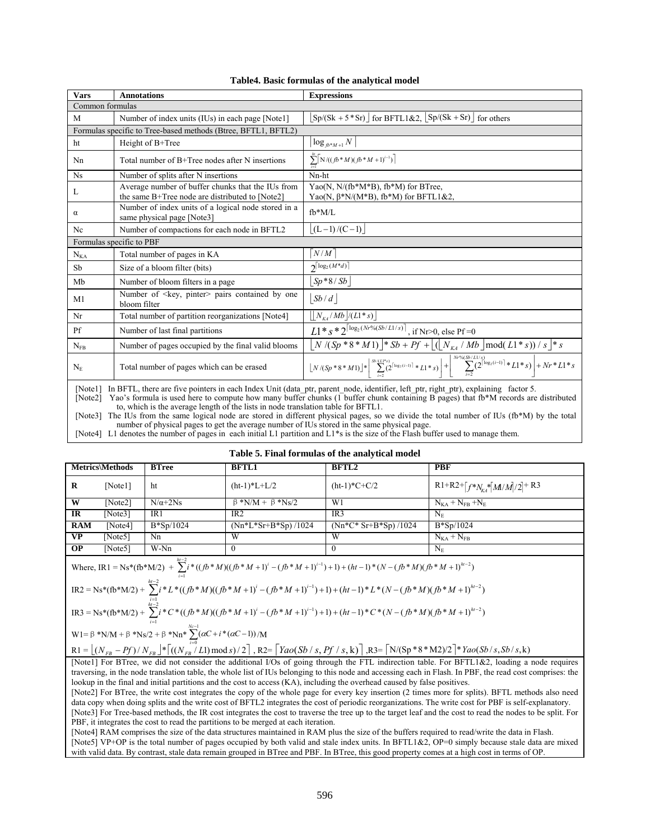| <b>Vars</b>                                                   | <b>Annotations</b>                                                                                   | <b>Expressions</b>                                                                                                                                                                                                                                                       |  |  |
|---------------------------------------------------------------|------------------------------------------------------------------------------------------------------|--------------------------------------------------------------------------------------------------------------------------------------------------------------------------------------------------------------------------------------------------------------------------|--|--|
| Common formulas                                               |                                                                                                      |                                                                                                                                                                                                                                                                          |  |  |
| M                                                             | Number of index units (IUs) in each page [Note1]                                                     | $Sp/(Sk + 5 * Sr)$ for BFTL1&2, $[Sp/(Sk + Sr)]$ for others                                                                                                                                                                                                              |  |  |
| Formulas specific to Tree-based methods (Btree, BFTL1, BFTL2) |                                                                                                      |                                                                                                                                                                                                                                                                          |  |  |
| ht                                                            | Height of B+Tree                                                                                     | $\log_{f^{b^*M+1}} N$                                                                                                                                                                                                                                                    |  |  |
| Nn                                                            | Total number of B+Tree nodes after N insertions                                                      | $\sum^{ht} \Bigl[ \text{N}/((fb * M) (fb * M + \text{I})^{\textit{i}-\text{l}}) \Bigr]$                                                                                                                                                                                  |  |  |
| Ns                                                            | Number of splits after N insertions                                                                  | Nn-ht                                                                                                                                                                                                                                                                    |  |  |
| L                                                             | Average number of buffer chunks that the IUs from<br>the same B+Tree node are distributed to [Note2] | Yao(N, $N/(fb*M*B)$ , $fb*M$ ) for BTree,<br>Yao(N, $\beta^*N/(M^*B)$ , fb*M) for BFTL1&2,                                                                                                                                                                               |  |  |
| α                                                             | Number of index units of a logical node stored in a<br>same physical page [Note3]                    | $fb*ML$                                                                                                                                                                                                                                                                  |  |  |
| Nc                                                            | Number of compactions for each node in BFTL2                                                         | $(L-1)/(C-1)$                                                                                                                                                                                                                                                            |  |  |
| Formulas specific to PBF                                      |                                                                                                      |                                                                                                                                                                                                                                                                          |  |  |
| $N_{KA}$                                                      | Total number of pages in KA                                                                          | N/M                                                                                                                                                                                                                                                                      |  |  |
| Sb                                                            | Size of a bloom filter (bits)                                                                        | $2^{\lceil \log_2(M^*d) \rceil}$                                                                                                                                                                                                                                         |  |  |
| Mb                                                            | Number of bloom filters in a page                                                                    | $ Sp * 8 / Sb $                                                                                                                                                                                                                                                          |  |  |
| M1                                                            | Number of <key, pinter=""> pairs contained by one<br/>bloom filter</key,>                            | Sb/d                                                                                                                                                                                                                                                                     |  |  |
| Nr                                                            | Total number of partition reorganizations [Note4]                                                    | $\sqrt{\left[N_{\kappa 4}/Mb\right]/(L1*s)}$                                                                                                                                                                                                                             |  |  |
| Pf                                                            | Number of last final partitions                                                                      | $L1 * S * 2^{\lceil \log_2(Nr\% (Sb/L1/s) \rceil}, \text{ if Nr>0, else } \text{Pf}=0$                                                                                                                                                                                   |  |  |
| $N_{FB}$                                                      | Number of pages occupied by the final valid blooms                                                   | $\left[ N / (Sp * 8 * M1) \right] * Sb + Pf + \left[ \left( \left[ N_{K4} / Mb \right] \right] \right] \mod (L1 * s) / s \right] * s$                                                                                                                                    |  |  |
| $N_{E}$                                                       | Total number of pages which can be erased                                                            | $\left\lfloor N/(Sp * 8 * M) \right\rfloor * \left\lfloor \sum_{i=1}^{8 \delta/(L!^*s)} (2^{\lceil \log_2(i-l) \rceil} * L! * s) \right\rfloor + \left\lfloor \sum_{i=2}^{8 \delta/(L!/s)} (2^{\lceil \log_2(i-l) \rceil} * L! * s) \right\rfloor + Nr * L! * s$         |  |  |
| [Note1]<br>[Note2]                                            |                                                                                                      | In BFTL, there are five pointers in each Index Unit (data_ptr, parent_node, identifier, left_ptr, right_ptr), explaining factor 5.<br>Yao's formula is used here to compute how many buffer chunks (1 buffer chunk containing B pages) that fb*M records are distributed |  |  |

#### **Table4. Basic formulas of the analytical model**

to, which is the average length of the lists in node translation table for BFTL1. [Note3] The IUs from the same logical node are stored in different physical pages, so we divide the total number of IUs (fb\*M) by the total number of physical pages to get the average number of IUs stored in the same physical page.

[Note4] L1 denotes the number of pages in each initial L1 partition and L1\*s is the size of the Flash buffer used to manage them.

|  |  | Table 5. Final formulas of the analytical model |  |
|--|--|-------------------------------------------------|--|
|  |  |                                                 |  |

|                                                                                                                                                                                                                                                                                                                                                                                                                                                                                                                                                                                                                                                                                                                                                                                                                                  | <b>Metrics</b> \Methods | <b>BTree</b>     | <b>BFTL1</b>                                                                       | <b>BFTL2</b>                                                                                                              | <b>PBF</b>                                                                                                                                                                                                                                                                                                                                                                                                                                                                                                                                                                                                                                                                                                                                                                          |
|----------------------------------------------------------------------------------------------------------------------------------------------------------------------------------------------------------------------------------------------------------------------------------------------------------------------------------------------------------------------------------------------------------------------------------------------------------------------------------------------------------------------------------------------------------------------------------------------------------------------------------------------------------------------------------------------------------------------------------------------------------------------------------------------------------------------------------|-------------------------|------------------|------------------------------------------------------------------------------------|---------------------------------------------------------------------------------------------------------------------------|-------------------------------------------------------------------------------------------------------------------------------------------------------------------------------------------------------------------------------------------------------------------------------------------------------------------------------------------------------------------------------------------------------------------------------------------------------------------------------------------------------------------------------------------------------------------------------------------------------------------------------------------------------------------------------------------------------------------------------------------------------------------------------------|
| $\bf{R}$                                                                                                                                                                                                                                                                                                                                                                                                                                                                                                                                                                                                                                                                                                                                                                                                                         | [Note1]                 | ht               | $(ht-1)*L+L/2$                                                                     | $(ht-1)*C+C/2$                                                                                                            | $R1+R2+[f*N_{K4}*[M/M]/2]+R3$                                                                                                                                                                                                                                                                                                                                                                                                                                                                                                                                                                                                                                                                                                                                                       |
| W                                                                                                                                                                                                                                                                                                                                                                                                                                                                                                                                                                                                                                                                                                                                                                                                                                | [Note2]                 | $N/\alpha + 2Ns$ | $\beta$ *N/M + $\beta$ *Ns/2                                                       | W <sub>1</sub>                                                                                                            | $N_{KA} + N_{FB} + N_E$                                                                                                                                                                                                                                                                                                                                                                                                                                                                                                                                                                                                                                                                                                                                                             |
| IR                                                                                                                                                                                                                                                                                                                                                                                                                                                                                                                                                                                                                                                                                                                                                                                                                               | [Note3]                 | IR1              | IR <sub>2</sub>                                                                    | IR <sub>3</sub>                                                                                                           | $N_F$                                                                                                                                                                                                                                                                                                                                                                                                                                                                                                                                                                                                                                                                                                                                                                               |
| RAM                                                                                                                                                                                                                                                                                                                                                                                                                                                                                                                                                                                                                                                                                                                                                                                                                              | [Note4]                 | $B*Sp/1024$      | $(Nn*L*Sr+B*Sp)/1024$                                                              | $(Nn*C* Sr+B*Sp)/1024$                                                                                                    | $B*Sp/1024$                                                                                                                                                                                                                                                                                                                                                                                                                                                                                                                                                                                                                                                                                                                                                                         |
| $\overline{\mathbf{v}}$                                                                                                                                                                                                                                                                                                                                                                                                                                                                                                                                                                                                                                                                                                                                                                                                          | [Note5]                 | Nn               | W                                                                                  | W                                                                                                                         | $N_{KA} + N_{FB}$                                                                                                                                                                                                                                                                                                                                                                                                                                                                                                                                                                                                                                                                                                                                                                   |
| OP                                                                                                                                                                                                                                                                                                                                                                                                                                                                                                                                                                                                                                                                                                                                                                                                                               | [Note5]                 | W-Nn             | $\theta$                                                                           | $\theta$                                                                                                                  | $N_{E}$                                                                                                                                                                                                                                                                                                                                                                                                                                                                                                                                                                                                                                                                                                                                                                             |
| Where, IR1 = Ns*(fb*M/2) + $\sum_{i=1}^{h t-2} i$ * ((fb*M)((fb*M+1) <sup>i</sup> – (fb*M+1) <sup>i-1</sup> )+1)+(ht-1)*(N-(fb*M)(fb*M+1) <sup>h-2</sup> )<br>IR2 = Ns*(fb*M/2) + $\sum_{i=1}^{h t-2} i$ *L*((fb*M)((fb*M+1) <sup>i</sup> – (fb*M+1) <sup>i-1</sup> )+1)+(ht-1)*L*(N-(fb*M)(fb*M+1)<br>$IR3 = Ns*(fb*M/2) + \sum_{h=2}^{h=2} i* C*((fb*M)((fb*M+1)^{i} - (fb*M+1)^{i-1}) + 1) + (ht-1)* C*(N-(fb*M)(fb*M+1)^{h-2})$<br>$\mathbf{W1} \!=\! \beta \ ^*\mathbf{N}/\mathbf{M} + \beta \ ^*\mathbf{N_S}/2 + \beta \ ^*\mathbf{Nn^*} \sum_{\sim}^{N_C-1} (\alpha C \!+\! i \ ^*\! (\alpha C \!-\! 1))/\mathbf{M}$<br>$R1 = \left[ (N_{FB} - Pf)/N_{FB} \right] * \left[ ((N_{FB}^{-1}/L1) \mod s)/2 \right]$ , $R2 = \left[ Yao(Sb/s, Pf/s, k) \right]$ , $R3 = \left[ N/(Sp * 8 * M2)/2 \right] * Yao(Sb/s, Sb/s, k)$ |                         |                  |                                                                                    |                                                                                                                           |                                                                                                                                                                                                                                                                                                                                                                                                                                                                                                                                                                                                                                                                                                                                                                                     |
|                                                                                                                                                                                                                                                                                                                                                                                                                                                                                                                                                                                                                                                                                                                                                                                                                                  |                         |                  | PBF, it integrates the cost to read the partitions to be merged at each iteration. | lookup in the final and initial partitions and the cost to access (KA), including the overhead caused by false positives. | [Note1] For BTree, we did not consider the additional I/Os of going through the FTL indirection table. For BFTL1&2, loading a node requires<br>traversing, in the node translation table, the whole list of IUs belonging to this node and accessing each in Flash. In PBF, the read cost comprises: the<br>[Note2] For BTree, the write cost integrates the copy of the whole page for every key insertion (2 times more for splits). BFTL methods also need<br>data copy when doing splits and the write cost of BFTL2 integrates the cost of periodic reorganizations. The write cost for PBF is self-explanatory.<br>[Note3] For Tree-based methods, the IR cost integrates the cost to traverse the tree up to the target leaf and the cost to read the nodes to be split. For |

[Note4] RAM comprises the size of the data structures maintained in RAM plus the size of the buffers required to read/write the data in Flash. [Note5] VP+OP is the total number of pages occupied by both valid and stale index units. In BFTL1&2, OP=0 simply because stale data are mixed with valid data. By contrast, stale data remain grouped in BTree and PBF. In BTree, this good property comes at a high cost in terms of OP.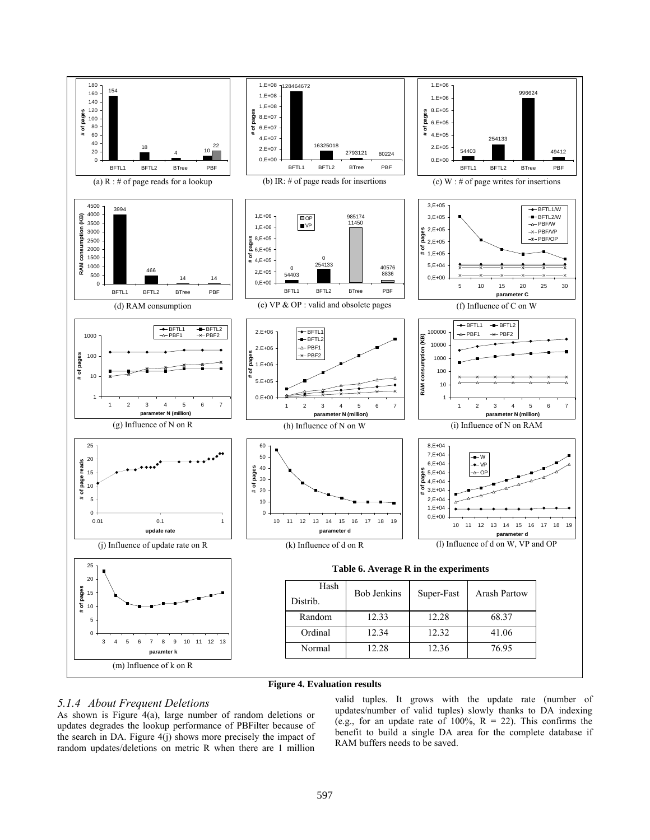

# **Figure 4. Evaluation results**

## *5.1.4 About Frequent Deletions*

As shown is Figure 4(a), large number of random deletions or updates degrades the lookup performance of PBFilter because of the search in DA. Figure  $4(i)$  shows more precisely the impact of random updates/deletions on metric R when there are 1 million valid tuples. It grows with the update rate (number of updates/number of valid tuples) slowly thanks to DA indexing (e.g., for an update rate of 100%,  $R = 22$ ). This confirms the benefit to build a single DA area for the complete database if RAM buffers needs to be saved.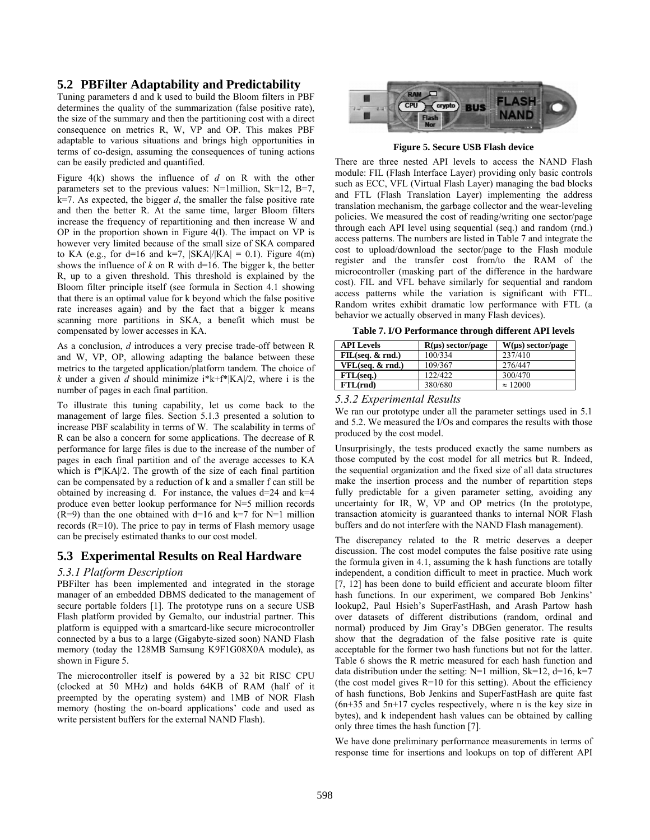# **5.2 PBFilter Adaptability and Predictability**

Tuning parameters d and k used to build the Bloom filters in PBF determines the quality of the summarization (false positive rate), the size of the summary and then the partitioning cost with a direct consequence on metrics R, W, VP and OP. This makes PBF adaptable to various situations and brings high opportunities in terms of co-design, assuming the consequences of tuning actions can be easily predicted and quantified.

Figure 4(k) shows the influence of *d* on R with the other parameters set to the previous values: N=1million, Sk=12, B=7,  $k=7$ . As expected, the bigger *d*, the smaller the false positive rate and then the better R. At the same time, larger Bloom filters increase the frequency of repartitioning and then increase W and OP in the proportion shown in Figure 4(l). The impact on VP is however very limited because of the small size of SKA compared to KA (e.g., for d=16 and k=7,  $|SKA|/|KA| = 0.1$ ). Figure 4(m) shows the influence of  $k$  on R with  $d=16$ . The bigger k, the better R, up to a given threshold. This threshold is explained by the Bloom filter principle itself (see formula in Section 4.1 showing that there is an optimal value for k beyond which the false positive rate increases again) and by the fact that a bigger k means scanning more partitions in SKA, a benefit which must be compensated by lower accesses in KA.

As a conclusion, *d* introduces a very precise trade-off between R and W, VP, OP, allowing adapting the balance between these metrics to the targeted application/platform tandem. The choice of *k* under a given *d* should minimize  $i^*k+f^*|KA|/2$ , where *i* is the number of pages in each final partition.

To illustrate this tuning capability, let us come back to the management of large files. Section 5.1.3 presented a solution to increase PBF scalability in terms of W. The scalability in terms of R can be also a concern for some applications. The decrease of R performance for large files is due to the increase of the number of pages in each final partition and of the average accesses to KA which is  $f^*|K A|/2$ . The growth of the size of each final partition can be compensated by a reduction of k and a smaller f can still be obtained by increasing d. For instance, the values  $d=24$  and  $k=4$ produce even better lookup performance for N=5 million records  $(R=9)$  than the one obtained with d=16 and k=7 for N=1 million records (R=10). The price to pay in terms of Flash memory usage can be precisely estimated thanks to our cost model.

## **5.3 Experimental Results on Real Hardware**

#### *5.3.1 Platform Description*

PBFilter has been implemented and integrated in the storage manager of an embedded DBMS dedicated to the management of secure portable folders [1]. The prototype runs on a secure USB Flash platform provided by Gemalto, our industrial partner. This platform is equipped with a smartcard-like secure microcontroller connected by a bus to a large (Gigabyte-sized soon) NAND Flash memory (today the 128MB Samsung K9F1G08X0A module), as shown in Figure 5.

The microcontroller itself is powered by a 32 bit RISC CPU (clocked at 50 MHz) and holds 64KB of RAM (half of it preempted by the operating system) and 1MB of NOR Flash memory (hosting the on-board applications' code and used as write persistent buffers for the external NAND Flash).



**Figure 5. Secure USB Flash device** 

There are three nested API levels to access the NAND Flash module: FIL (Flash Interface Layer) providing only basic controls such as ECC, VFL (Virtual Flash Layer) managing the bad blocks and FTL (Flash Translation Layer) implementing the address translation mechanism, the garbage collector and the wear-leveling policies. We measured the cost of reading/writing one sector/page through each API level using sequential (seq.) and random (rnd.) access patterns. The numbers are listed in Table 7 and integrate the cost to upload/download the sector/page to the Flash module register and the transfer cost from/to the RAM of the microcontroller (masking part of the difference in the hardware cost). FIL and VFL behave similarly for sequential and random access patterns while the variation is significant with FTL. Random writes exhibit dramatic low performance with FTL (a behavior we actually observed in many Flash devices).

**Table 7. I/O Performance through different API levels** 

| <b>API Levels</b> | $R(\mu s)$ sector/page | $W(\mu s)$ sector/page |
|-------------------|------------------------|------------------------|
| FL(seq. & rnd.)   | 100/334                | 237/410                |
| VFL(seq. & rnd.)  | 109/367                | 276/447                |
| FTL (seq.)        | 122/422                | 300/470                |
| FTL(rnd)          | 380/680                | $\approx 12000$        |

*5.3.2 Experimental Results* 

We ran our prototype under all the parameter settings used in 5.1 and 5.2. We measured the I/Os and compares the results with those produced by the cost model.

Unsurprisingly, the tests produced exactly the same numbers as those computed by the cost model for all metrics but R. Indeed, the sequential organization and the fixed size of all data structures make the insertion process and the number of repartition steps fully predictable for a given parameter setting, avoiding any uncertainty for IR, W, VP and OP metrics (In the prototype, transaction atomicity is guaranteed thanks to internal NOR Flash buffers and do not interfere with the NAND Flash management).

The discrepancy related to the R metric deserves a deeper discussion. The cost model computes the false positive rate using the formula given in 4.1, assuming the k hash functions are totally independent, a condition difficult to meet in practice. Much work [7, 12] has been done to build efficient and accurate bloom filter hash functions. In our experiment, we compared Bob Jenkins' lookup2, Paul Hsieh's SuperFastHash, and Arash Partow hash over datasets of different distributions (random, ordinal and normal) produced by Jim Gray's DBGen generator. The results show that the degradation of the false positive rate is quite acceptable for the former two hash functions but not for the latter. Table 6 shows the R metric measured for each hash function and data distribution under the setting:  $N=1$  million,  $Sk=12$ ,  $d=16$ ,  $k=7$ (the cost model gives  $R=10$  for this setting). About the efficiency of hash functions, Bob Jenkins and SuperFastHash are quite fast (6n+35 and 5n+17 cycles respectively, where n is the key size in bytes), and k independent hash values can be obtained by calling only three times the hash function [7].

We have done preliminary performance measurements in terms of response time for insertions and lookups on top of different API